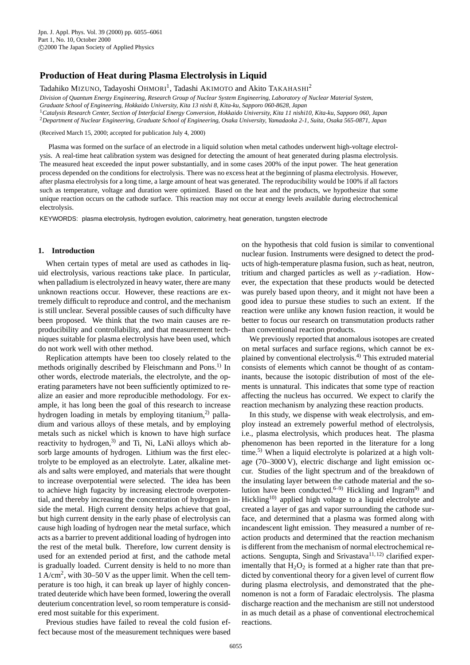# **Production of Heat during Plasma Electrolysis in Liquid**

Tadahiko MIZUNO, Tadayoshi OHMORI<sup>1</sup>, Tadashi AKIMOTO and Akito TAKAHASHI<sup>2</sup>

*Division of Quantum Energy Engineering, Research Group of Nuclear System Engineering, Laboratory of Nuclear Material System,*

*Graduate School of Engineering, Hokkaido University, Kita 13 nishi 8, Kita-ku, Sapporo 060-8628, Japan*

<sup>1</sup>*Catalysis Research Center, Section of Interfacial Energy Conversion, Hokkaido University, Kita 11 nishi10, Kita-ku, Sapporo 060, Japan*

<sup>2</sup>*Department of Nuclear Engineering, Graduate School of Engineering, Osaka University, Yamadaoka 2-1, Suita, Osaka 565-0871, Japan*

(Received March 15, 2000; accepted for publication July 4, 2000)

Plasma was formed on the surface of an electrode in a liquid solution when metal cathodes underwent high-voltage electrolysis. A real-time heat calibration system was designed for detecting the amount of heat generated during plasma electrolysis. The measured heat exceeded the input power substantially, and in some cases 200% of the input power. The heat generation process depended on the conditions for electrolysis. There was no excess heat at the beginning of plasma electrolysis. However, after plasma electrolysis for a long time, a large amount of heat was generated. The reproducibility would be 100% if all factors such as temperature, voltage and duration were optimized. Based on the heat and the products, we hypothesize that some unique reaction occurs on the cathode surface. This reaction may not occur at energy levels available during electrochemical electrolysis.

KEYWORDS: plasma electrolysis, hydrogen evolution, calorimetry, heat generation, tungsten electrode

## **1. Introduction**

When certain types of metal are used as cathodes in liquid electrolysis, various reactions take place. In particular, when palladium is electrolyzed in heavy water, there are many unknown reactions occur. However, these reactions are extremely difficult to reproduce and control, and the mechanism is still unclear. Several possible causes of such difficulty have been proposed. We think that the two main causes are reproducibility and controllability, and that measurement techniques suitable for plasma electrolysis have been used, which do not work well with other method.

Replication attempts have been too closely related to the methods originally described by Fleischmann and Pons.<sup>1)</sup> In other words, electrode materials, the electrolyte, and the operating parameters have not been sufficiently optimized to realize an easier and more reproducible methodology. For example, it has long been the goal of this research to increase hydrogen loading in metals by employing titanium,<sup>2)</sup> palladium and various alloys of these metals, and by employing metals such as nickel which is known to have high surface reactivity to hydrogen, $3$  and Ti, Ni, LaNi alloys which absorb large amounts of hydrogen. Lithium was the first electrolyte to be employed as an electrolyte. Later, alkaline metals and salts were employed, and materials that were thought to increase overpotential were selected. The idea has been to achieve high fugacity by increasing electrode overpotential, and thereby increasing the concentration of hydrogen inside the metal. High current density helps achieve that goal, but high current density in the early phase of electrolysis can cause high loading of hydrogen near the metal surface, which acts as a barrier to prevent additional loading of hydrogen into the rest of the metal bulk. Therefore, low current density is used for an extended period at first, and the cathode metal is gradually loaded. Current density is held to no more than  $1 \text{ A/cm}^2$ , with 30–50 V as the upper limit. When the cell temperature is too high, it can break up layer of highly concentrated deuteride which have been formed, lowering the overall deuterium concentration level, so room temperature is considered most suitable for this experiment.

Previous studies have failed to reveal the cold fusion effect because most of the measurement techniques were based on the hypothesis that cold fusion is similar to conventional nuclear fusion. Instruments were designed to detect the products of high-temperature plasma fusion, such as heat, neutron, tritium and charged particles as well as  $\gamma$ -radiation. However, the expectation that these products would be detected was purely based upon theory, and it might not have been a good idea to pursue these studies to such an extent. If the reaction were unlike any known fusion reaction, it would be better to focus our research on transmutation products rather than conventional reaction products.

We previously reported that anomalous isotopes are created on metal surfaces and surface regions, which cannot be explained by conventional electrolysis.4) This extruded material consists of elements which cannot be thought of as contaminants, because the isotopic distribution of most of the elements is unnatural. This indicates that some type of reaction affecting the nucleus has occurred. We expect to clarify the reaction mechanism by analyzing these reaction products.

i.e., plasma electrolysis, which produces heat. The plasma phenomenon has been reported in the literature for a long time.<sup>5)</sup> When a liquid electrolyte is polarized at a high voltage (70–3000 V), electric discharge and light emission occur. Studies of the light spectrum and of the breakdown of the insulating layer between the cathode material and the solution have been conducted.<sup>6–9)</sup> Hickling and Ingram<sup>9)</sup> and Hickling<sup>10)</sup> applied high voltage to a liquid electrolyte and created a layer of gas and vapor surrounding the cathode surface, and determined that a plasma was formed along with incandescent light emission. They measured a number of reaction products and determined that the reaction mechanism is different from the mechanism of normal electrochemical reactions. Sengupta, Singh and Srivastava<sup>11, 12)</sup> clarified experimentally that  $H_2O_2$  is formed at a higher rate than that predicted by conventional theory for a given level of current flow during plasma electrolysis, and demonstrated that the phenomenon is not a form of Faradaic electrolysis. The plasma discharge reaction and the mechanism are still not understood in as much detail as a phase of conventional electrochemical reactions. In this study, we dispense with weak electrolysis, and employ instead an extremely powerful method of electrolysis,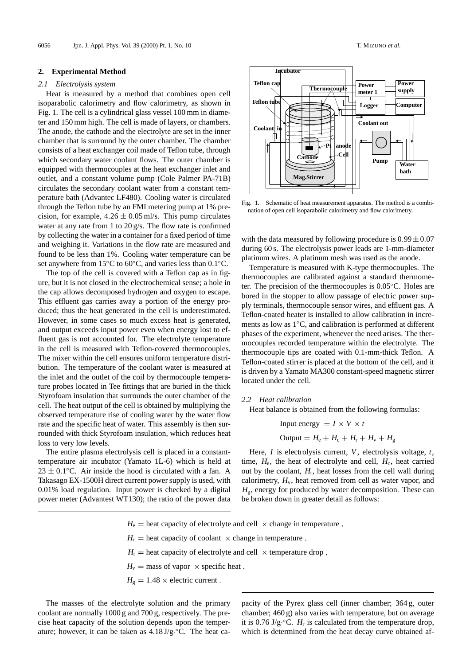## **2. Experimental Method**

## *2.1 Electrolysis system*

Heat is measured by a method that combines open cell isoparabolic calorimetry and flow calorimetry, as shown in Fig. 1. The cell is a cylindrical glass vessel 100 mm in diameter and 150 mm high. The cell is made of layers, or chambers. The anode, the cathode and the electrolyte are set in the inner chamber that is surround by the outer chamber. The chamber consists of a heat exchanger coil made of Teflon tube, through which secondary water coolant flows. The outer chamber is equipped with thermocouples at the heat exchanger inlet and outlet, and a constant volume pump (Cole Palmer PA-71B) circulates the secondary coolant water from a constant temperature bath (Advantec LF480). Cooling water is circulated through the Teflon tube by an FMI metering pump at 1% precision, for example,  $4.26 \pm 0.05$  ml/s. This pump circulates water at any rate from 1 to 20 g/s. The flow rate is confirmed by collecting the water in a container for a fixed period of time and weighing it. Variations in the flow rate are measured and found to be less than 1%. Cooling water temperature can be set anywhere from 15°C to 60°C, and varies less than 0.1°C.

The top of the cell is covered with a Teflon cap as in figure, but it is not closed in the electrochemical sense; a hole in the cap allows decomposed hydrogen and oxygen to escape. This effluent gas carries away a portion of the energy produced; thus the heat generated in the cell is underestimated. However, in some cases so much excess heat is generated, and output exceeds input power even when energy lost to effluent gas is not accounted for. The electrolyte temperature in the cell is measured with Teflon-covered thermocouples. The mixer within the cell ensures uniform temperature distribution. The temperature of the coolant water is measured at the inlet and the outlet of the coil by thermocouple temperature probes located in Tee fittings that are buried in the thick Styrofoam insulation that surrounds the outer chamber of the cell. The heat output of the cell is obtained by multiplying the observed temperature rise of cooling water by the water flow rate and the specific heat of water. This assembly is then surrounded with thick Styrofoam insulation, which reduces heat loss to very low levels.

The entire plasma electrolysis cell is placed in a constanttemperature air incubator (Yamato 1L-6) which is held at  $23 \pm 0.1$ °C. Air inside the hood is circulated with a fan. A Takasago EX-1500H direct current power supply is used, with 0.01% load regulation. Input power is checked by a digital power meter (Advantest WT130); the ratio of the power data



Fig. 1. Schematic of heat measurement apparatus. The method is a combination of open cell isoparabolic calorimetry and flow calorimetry.

with the data measured by following procedure is  $0.99 \pm 0.07$ during 60 s. The electrolysis power leads are 1-mm-diameter platinum wires. A platinum mesh was used as the anode.

Temperature is measured with K-type thermocouples. The thermocouples are calibrated against a standard thermometer. The precision of the thermocouples is 0.05◦C. Holes are bored in the stopper to allow passage of electric power supply terminals, thermocouple sensor wires, and effluent gas. A Teflon-coated heater is installed to allow calibration in increments as low as 1◦C, and calibration is performed at different phases of the experiment, whenever the need arises. The thermocouples recorded temperature within the electrolyte. The thermocouple tips are coated with 0.1-mm-thick Teflon. A Teflon-coated stirrer is placed at the bottom of the cell, and it is driven by a Yamato MA300 constant-speed magnetic stirrer located under the cell.

## *2.2 Heat calibration*

Heat balance is obtained from the following formulas:

Input energy = 
$$
I \times V \times t
$$
  
Output =  $H_e + H_c + H_r + H_v + H_g$ 

Here, *I* is electrolysis current, *V*, electrolysis voltage, *t*, time,  $H_e$ , the heat of electrolyte and cell,  $H_c$ , heat carried out by the coolant, *H*r, heat losses from the cell wall during calorimetry,  $H_v$ , heat removed from cell as water vapor, and  $H<sub>g</sub>$ , energy for produced by water decomposition. These can be broken down in greater detail as follows:

- $H_e$  = heat capacity of electrolyte and cell  $\times$  change in temperature,
- $H_c$  = heat capacity of coolant  $\times$  change in temperature,
- $H_r$  = heat capacity of electrolyte and cell  $\times$  temperature drop,
- $H_v$  = mass of vapor  $\times$  specific heat,
- $H<sub>g</sub> = 1.48 \times$  electric current.

The masses of the electrolyte solution and the primary coolant are normally 1000 g and 700 g, respectively. The precise heat capacity of the solution depends upon the temperature; however, it can be taken as  $4.18 \text{ J/g} \cdot \text{°C}$ . The heat capacity of the Pyrex glass cell (inner chamber; 364 g, outer chamber; 460 g) also varies with temperature, but on average it is  $0.76 \text{ J/g} \cdot {}^{\circ}\text{C}$ . *H<sub>r</sub>* is calculated from the temperature drop, which is determined from the heat decay curve obtained af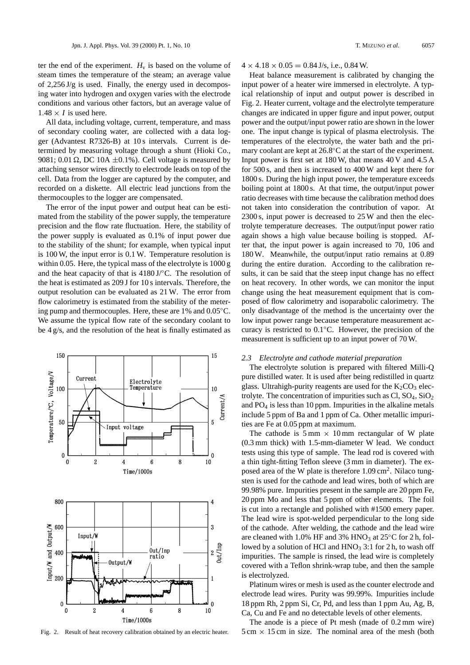ter the end of the experiment.  $H_v$  is based on the volume of steam times the temperature of the steam; an average value of 2,256 J/g is used. Finally, the energy used in decomposing water into hydrogen and oxygen varies with the electrode conditions and various other factors, but an average value of  $1.48 \times I$  is used here.

All data, including voltage, current, temperature, and mass of secondary cooling water, are collected with a data logger (Advantest R7326-B) at 10 s intervals. Current is determined by measuring voltage through a shunt (Hioki Co., 9081; 0.01  $\Omega$ , DC 10A  $\pm$ 0.1%). Cell voltage is measured by attaching sensor wires directly to electrode leads on top of the cell. Data from the logger are captured by the computer, and recorded on a diskette. All electric lead junctions from the thermocouples to the logger are compensated.

The error of the input power and output heat can be estimated from the stability of the power supply, the temperature precision and the flow rate fluctuation. Here, the stability of the power supply is evaluated as 0.1% of input power due to the stability of the shunt; for example, when typical input is 100 W, the input error is 0.1 W. Temperature resolution is within 0.05. Here, the typical mass of the electrolyte is 1000 g and the heat capacity of that is 4180 J/◦C. The resolution of the heat is estimated as 209 J for 10 s intervals. Therefore, the output resolution can be evaluated as 21 W. The error from flow calorimetry is estimated from the stability of the metering pump and thermocouples. Here, these are 1% and 0.05◦C. We assume the typical flow rate of the secondary coolant to be 4 g/s, and the resolution of the heat is finally estimated as



Fig. 2. Result of heat recovery calibration obtained by an electric heater.

 $4 \times 4.18 \times 0.05 = 0.84$  J/s, i.e., 0.84 W.

Heat balance measurement is calibrated by changing the input power of a heater wire immersed in electrolyte. A typical relationship of input and output power is described in Fig. 2. Heater current, voltage and the electrolyte temperature changes are indicated in upper figure and input power, output power and the output/input power ratio are shown in the lower one. The input change is typical of plasma electrolysis. The temperatures of the electrolyte, the water bath and the primary coolant are kept at 26.8◦C at the start of the experiment. Input power is first set at 180 W, that means 40 V and 4.5 A for 500 s, and then is increased to 400 W and kept there for 1800 s. During the high input power, the temperature exceeds boiling point at 1800 s. At that time, the output/input power ratio decreases with time because the calibration method does not taken into consideration the contribution of vapor. At 2300 s, input power is decreased to 25 W and then the electrolyte temperature decreases. The output/input power ratio again shows a high value because boiling is stopped. After that, the input power is again increased to 70, 106 and 180 W. Meanwhile, the output/input ratio remains at 0.89 during the entire duration. According to the calibration results, it can be said that the steep input change has no effect on heat recovery. In other words, we can monitor the input change using the heat measurement equipment that is composed of flow calorimetry and isoparabolic calorimetry. The only disadvantage of the method is the uncertainty over the low input power range because temperature measurement accuracy is restricted to 0.1◦C. However, the precision of the measurement is sufficient up to an input power of 70 W.

#### *2.3 Electrolyte and cathode material preparation*

The electrolyte solution is prepared with filtered Milli-Q pure distilled water. It is used after being redistilled in quartz glass. Ultrahigh-purity reagents are used for the  $K_2CO_3$  electrolyte. The concentration of impurities such as  $Cl, SO_4, SiO_2$ and  $PO<sub>4</sub>$  is less than 10 ppm. Impurities in the alkaline metals include 5 ppm of Ba and 1 ppm of Ca. Other metallic impurities are Fe at 0.05 ppm at maximum.

The cathode is  $5 \text{ mm} \times 10 \text{ mm}$  rectangular of W plate (0.3 mm thick) with 1.5-mm-diameter W lead. We conduct tests using this type of sample. The lead rod is covered with a thin tight-fitting Teflon sleeve (3 mm in diameter). The exposed area of the W plate is therefore 1.09 cm<sup>2</sup>. Nilaco tungsten is used for the cathode and lead wires, both of which are 99.98% pure. Impurities present in the sample are 20 ppm Fe, 20 ppm Mo and less that 5 ppm of other elements. The foil is cut into a rectangle and polished with #1500 emery paper. The lead wire is spot-welded perpendicular to the long side of the cathode. After welding, the cathode and the lead wire are cleaned with 1.0% HF and 3% HNO<sub>3</sub> at  $25^{\circ}$ C for 2 h, followed by a solution of HCl and  $HNO<sub>3</sub>$  3:1 for 2 h, to wash off impurities. The sample is rinsed, the lead wire is completely covered with a Teflon shrink-wrap tube, and then the sample is electrolyzed.

Platinum wires or mesh is used as the counter electrode and electrode lead wires. Purity was 99.99%. Impurities include 18 ppm Rh, 2 ppm Si, Cr, Pd, and less than 1 ppm Au, Ag, B, Ca, Cu and Fe and no detectable levels of other elements.

The anode is a piece of Pt mesh (made of 0.2 mm wire)  $5 \text{ cm} \times 15 \text{ cm}$  in size. The nominal area of the mesh (both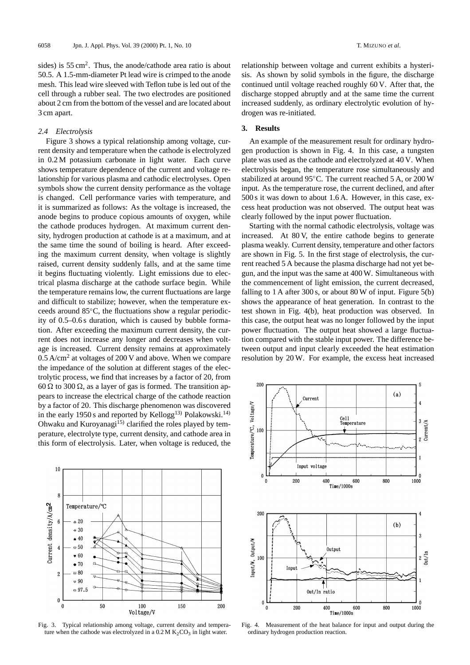sides) is  $55 \text{ cm}^2$ . Thus, the anode/cathode area ratio is about 50.5. A 1.5-mm-diameter Pt lead wire is crimped to the anode mesh. This lead wire sleeved with Teflon tube is led out of the cell through a rubber seal. The two electrodes are positioned about 2 cm from the bottom of the vessel and are located about 3 cm apart.

#### *2.4 Electrolysis*

Figure 3 shows a typical relationship among voltage, current density and temperature when the cathode is electrolyzed in 0.2 M potassium carbonate in light water. Each curve shows temperature dependence of the current and voltage relationship for various plasma and cathodic electrolyses. Open symbols show the current density performance as the voltage is changed. Cell performance varies with temperature, and it is summarized as follows: As the voltage is increased, the anode begins to produce copious amounts of oxygen, while the cathode produces hydrogen. At maximum current density, hydrogen production at cathode is at a maximum, and at the same time the sound of boiling is heard. After exceeding the maximum current density, when voltage is slightly raised, current density suddenly falls, and at the same time it begins fluctuating violently. Light emissions due to electrical plasma discharge at the cathode surface begin. While the temperature remains low, the current fluctuations are large and difficult to stabilize; however, when the temperature exceeds around 85◦C, the fluctuations show a regular periodicity of 0.5–0.6 s duration, which is caused by bubble formation. After exceeding the maximum current density, the current does not increase any longer and decreases when voltage is increased. Current density remains at approximately 0.5 A/cm<sup>2</sup> at voltages of 200 V and above. When we compare the impedance of the solution at different stages of the electrolytic process, we find that increases by a factor of 20, from 60  $\Omega$  to 300  $\Omega$ , as a layer of gas is formed. The transition appears to increase the electrical charge of the cathode reaction by a factor of 20. This discharge phenomenon was discovered in the early 1950 s and reported by Kellogg<sup>13)</sup> Polakowski.<sup>14)</sup> Ohwaku and Kuroyanagi<sup>15)</sup> clarified the roles played by temperature, electrolyte type, current density, and cathode area in this form of electrolysis. Later, when voltage is reduced, the



Fig. 3. Typical relationship among voltage, current density and temperature when the cathode was electrolyzed in a  $0.2 M K<sub>2</sub>CO<sub>3</sub>$  in light water.

relationship between voltage and current exhibits a hysterisis. As shown by solid symbols in the figure, the discharge continued until voltage reached roughly 60 V. After that, the discharge stopped abruptly and at the same time the current increased suddenly, as ordinary electrolytic evolution of hydrogen was re-initiated.

## **3. Results**

An example of the measurement result for ordinary hydrogen production is shown in Fig. 4. In this case, a tungsten plate was used as the cathode and electrolyzed at 40 V. When electrolysis began, the temperature rose simultaneously and stabilized at around 95◦C. The current reached 5 A, or 200 W input. As the temperature rose, the current declined, and after 500 s it was down to about 1.6 A. However, in this case, excess heat production was not observed. The output heat was clearly followed by the input power fluctuation.

Starting with the normal cathodic electrolysis, voltage was increased. At 80 V, the entire cathode begins to generate plasma weakly. Current density, temperature and other factors are shown in Fig. 5. In the first stage of electrolysis, the current reached 5 A because the plasma discharge had not yet begun, and the input was the same at 400 W. Simultaneous with the commencement of light emission, the current decreased, falling to 1 A after 300 s, or about 80 W of input. Figure  $5(b)$ shows the appearance of heat generation. In contrast to the test shown in Fig. 4(b), heat production was observed. In this case, the output heat was no longer followed by the input power fluctuation. The output heat showed a large fluctuation compared with the stable input power. The difference between output and input clearly exceeded the heat estimation resolution by 20 W. For example, the excess heat increased



Fig. 4. Measurement of the heat balance for input and output during the ordinary hydrogen production reaction.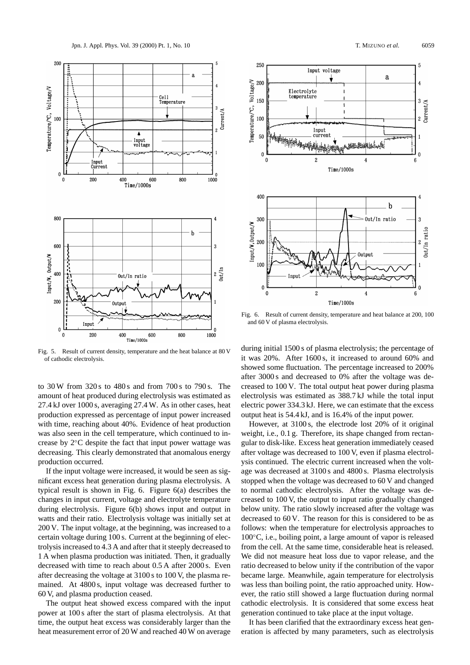

Fig. 5. Result of current density, temperature and the heat balance at 80 V of cathodic electrolysis.

to 30 W from 320 s to 480 s and from 700 s to 790 s. The amount of heat produced during electrolysis was estimated as 27.4 kJ over 1000 s, averaging 27.4 W. As in other cases, heat production expressed as percentage of input power increased with time, reaching about 40%. Evidence of heat production was also seen in the cell temperature, which continued to increase by 2◦C despite the fact that input power wattage was decreasing. This clearly demonstrated that anomalous energy production occurred.

200 V. The input voltage, at the beginning, was increased to a certain voltage during 100 s. Current at the beginning of electrolysis increased to 4.3 A and after that it steeply decreased to 1 A when plasma production was initiated. Then, it gradually decreased with time to reach about 0.5 A after 2000 s. Even after decreasing the voltage at 3100 s to 100 V, the plasma remained. At 4800 s, input voltage was decreased further to 60 V, and plasma production ceased. If the input voltage were increased, it would be seen as significant excess heat generation during plasma electrolysis. A typical result is shown in Fig. 6. Figure 6(a) describes the changes in input current, voltage and electrolyte temperature during electrolysis. Figure 6(b) shows input and output in watts and their ratio. Electrolysis voltage was initially set at

The output heat showed excess compared with the input power at 100 s after the start of plasma electrolysis. At that time, the output heat excess was considerably larger than the heat measurement error of 20 W and reached 40 W on average





Fig. 6. Result of current density, temperature and heat balance at 200, 100 and 60 V of plasma electrolysis.

during initial 1500 s of plasma electrolysis; the percentage of it was 20%. After 1600 s, it increased to around 60% and showed some fluctuation. The percentage increased to 200% after 3000 s and decreased to 0% after the voltage was decreased to 100 V. The total output heat power during plasma electrolysis was estimated as 388.7 kJ while the total input electric power 334.3 kJ. Here, we can estimate that the excess output heat is 54.4 kJ, and is 16.4% of the input power.

However, at 3100 s, the electrode lost 20% of it original weight, i.e., 0.1 g. Therefore, its shape changed from rectangular to disk-like. Excess heat generation immediately ceased after voltage was decreased to 100 V, even if plasma electrolysis continued. The electric current increased when the voltage was decreased at 3100 s and 4800 s. Plasma electrolysis stopped when the voltage was decreased to 60 V and changed to normal cathodic electrolysis. After the voltage was decreased to 100 V, the output to input ratio gradually changed below unity. The ratio slowly increased after the voltage was decreased to 60 V. The reason for this is considered to be as follows: when the temperature for electrolysis approaches to 100◦C, i.e., boiling point, a large amount of vapor is released from the cell. At the same time, considerable heat is released. We did not measure heat loss due to vapor release, and the ratio decreased to below unity if the contribution of the vapor became large. Meanwhile, again temperature for electrolysis was less than boiling point, the ratio approached unity. However, the ratio still showed a large fluctuation during normal cathodic electrolysis. It is considered that some excess heat generation continued to take place at the input voltage.

It has been clarified that the extraordinary excess heat generation is affected by many parameters, such as electrolysis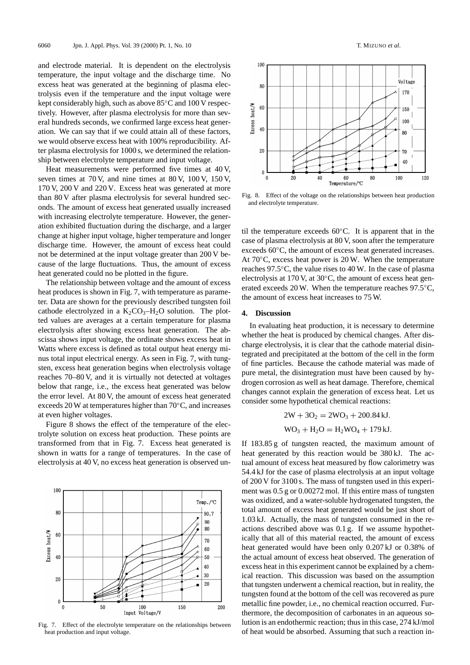and electrode material. It is dependent on the electrolysis temperature, the input voltage and the discharge time. No excess heat was generated at the beginning of plasma electrolysis even if the temperature and the input voltage were kept considerably high, such as above 85◦C and 100 V respectively. However, after plasma electrolysis for more than several hundreds seconds, we confirmed large excess heat generation. We can say that if we could attain all of these factors, we would observe excess heat with 100% reproducibility. After plasma electrolysis for 1000 s, we determined the relationship between electrolyte temperature and input voltage.

Heat measurements were performed five times at 40 V, seven times at 70 V, and nine times at 80 V, 100 V, 150 V, 170 V, 200 V and 220 V. Excess heat was generated at more than 80 V after plasma electrolysis for several hundred seconds. The amount of excess heat generated usually increased with increasing electrolyte temperature. However, the generation exhibited fluctuation during the discharge, and a larger change at higher input voltage, higher temperature and longer discharge time. However, the amount of excess heat could not be determined at the input voltage greater than 200 V because of the large fluctuations. Thus, the amount of excess heat generated could no be plotted in the figure.

The relationship between voltage and the amount of excess heat produces is shown in Fig. 7, with temperature as parameter. Data are shown for the previously described tungsten foil cathode electrolyzed in a  $K_2CO_3-H_2O$  solution. The plotted values are averages at a certain temperature for plasma electrolysis after showing excess heat generation. The abscissa shows input voltage, the ordinate shows excess heat in Watts where excess is defined as total output heat energy minus total input electrical energy. As seen in Fig. 7, with tungsten, excess heat generation begins when electrolysis voltage reaches 70–80 V, and it is virtually not detected at voltages below that range, i.e., the excess heat generated was below the error level. At 80 V, the amount of excess heat generated exceeds 20 W at temperatures higher than 70◦C, and increases at even higher voltages.

Figure 8 shows the effect of the temperature of the electrolyte solution on excess heat production. These points are transformed from that in Fig. 7. Excess heat generated is shown in watts for a range of temperatures. In the case of electrolysis at 40 V, no excess heat generation is observed un-



Fig. 7. Effect of the electrolyte temperature on the relationships between heat production and input voltage.



Fig. 8. Effect of the voltage on the relationships between heat production and electrolyte temperature.

til the temperature exceeds 60◦C. It is apparent that in the case of plasma electrolysis at 80 V, soon after the temperature exceeds 60◦C, the amount of excess heat generated increases. At  $70^{\circ}$ C, excess heat power is 20 W. When the temperature reaches 97.5◦C, the value rises to 40 W. In the case of plasma electrolysis at 170 V, at 30◦C, the amount of excess heat generated exceeds 20 W. When the temperature reaches 97.5◦C, the amount of excess heat increases to 75 W.

#### **4. Discussion**

In evaluating heat production, it is necessary to determine whether the heat is produced by chemical changes. After discharge electrolysis, it is clear that the cathode material disintegrated and precipitated at the bottom of the cell in the form of fine particles. Because the cathode material was made of pure metal, the disintegration must have been caused by hydrogen corrosion as well as heat damage. Therefore, chemical changes cannot explain the generation of excess heat. Let us consider some hypothetical chemical reactions:

$$
2W + 3O2 = 2WO3 + 200.84 kJ.
$$
  
WO<sub>3</sub> + H<sub>2</sub>O = H<sub>2</sub>WO<sub>4</sub> + 179 kJ.

If 183.85 g of tungsten reacted, the maximum amount of heat generated by this reaction would be 380 kJ. The actual amount of excess heat measured by flow calorimetry was 54.4 kJ for the case of plasma electrolysis at an input voltage of 200 V for 3100 s. The mass of tungsten used in this experiment was 0.5 g or 0.00272 mol. If this entire mass of tungsten was oxidized, and a water-soluble hydrogenated tungsten, the total amount of excess heat generated would be just short of 1.03 kJ. Actually, the mass of tungsten consumed in the reactions described above was 0.1 g. If we assume hypothetically that all of this material reacted, the amount of excess heat generated would have been only 0.207 kJ or 0.38% of the actual amount of excess heat observed. The generation of excess heat in this experiment cannot be explained by a chemical reaction. This discussion was based on the assumption that tungsten underwent a chemical reaction, but in reality, the tungsten found at the bottom of the cell was recovered as pure metallic fine powder, i.e., no chemical reaction occurred. Furthermore, the decomposition of carbonates in an aqueous solution is an endothermic reaction; thus in this case, 274 kJ/mol of heat would be absorbed. Assuming that such a reaction in